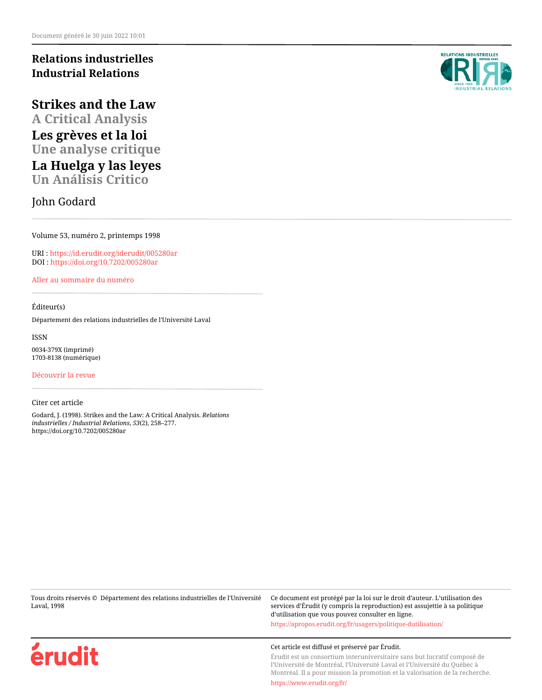# **Relations industrielles Industrial Relations**

**Strikes and the Law A Critical Analysis**

**Les grèves et la loi Une analyse critique**

**La Huelga y las leyes Un Análisis Critico**

John Godard

Volume 53, numéro 2, printemps 1998

URI :<https://id.erudit.org/iderudit/005280ar> DOI :<https://doi.org/10.7202/005280ar>

[Aller au sommaire du numéro](https://www.erudit.org/fr/revues/ri/1998-v53-n2-ri207/)

# Éditeur(s)

Département des relations industrielles de l'Université Laval

ISSN 0034-379X (imprimé) 1703-8138 (numérique)

[Découvrir la revue](https://www.erudit.org/fr/revues/ri/)

#### Citer cet article

Godard, J. (1998). Strikes and the Law: A Critical Analysis. *Relations industrielles / Industrial Relations*, *53*(2), 258–277. https://doi.org/10.7202/005280ar

Tous droits réservés © Département des relations industrielles de l'Université Laval, 1998

Ce document est protégé par la loi sur le droit d'auteur. L'utilisation des services d'Érudit (y compris la reproduction) est assujettie à sa politique d'utilisation que vous pouvez consulter en ligne. <https://apropos.erudit.org/fr/usagers/politique-dutilisation/>

Cet article est diffusé et préservé par Érudit.

Érudit est un consortium interuniversitaire sans but lucratif composé de l'Université de Montréal, l'Université Laval et l'Université du Québec à Montréal. Il a pour mission la promotion et la valorisation de la recherche.





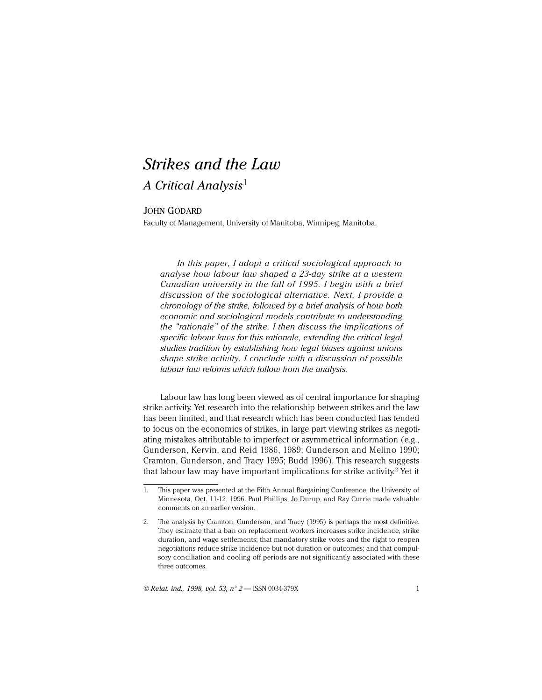# *Strikes and the Law*

# *A Critical Analysis*<sup>1</sup>

# JOHN GODARD

Faculty of Management, University of Manitoba, Winnipeg, Manitoba.

In this paper, I adopt a critical sociological approach to *analyse how labour law shaped a 23-day strike at a western Canadian university in the fall of 1995. I begin with a brief discussion of the sociological alternative. Next, I provide a chronology of the strike, followed by a brief analysis of how both economic and sociological models contribute to understanding the "rationale" of the strike. I then discuss the implications of specific labour laws for this rationale, extending the critical legal studies tradition by establishing how legal biases against unions shape strike activity. I conclude with a discussion of possible labour law reforms which follow from the analysis.*

Labour law has long been viewed as of central importance for shaping strike activity. Yet research into the relationship between strikes and the law has been limited, and that research which has been conducted has tended to focus on the economics of strikes, in large part viewing strikes as negotiating mistakes attributable to imperfect or asymmetrical information (e.g., Gunderson, Kervin, and Reid 1986, 1989; Gunderson and Melino 1990; Cramton, Gunderson, and Tracy 1995; Budd 1996). This research suggests that labour law may have important implications for strike activity.<sup>2</sup> Yet it

© *Relat. ind., 1998, vol. 53, n° 2* — ISSN 0034-379X 1

<sup>1.</sup> This paper was presented at the Fifth Annual Bargaining Conference, the University of Minnesota, Oct. 11-12, 1996. Paul Phillips, Jo Durup, and Ray Currie made valuable comments on an earlier version.

<sup>2.</sup> The analysis by Cramton, Gunderson, and Tracy (1995) is perhaps the most definitive. They estimate that a ban on replacement workers increases strike incidence, strike duration, and wage settlements; that mandatory strike votes and the right to reopen negotiations reduce strike incidence but not duration or outcomes; and that compulsory conciliation and cooling off periods are not significantly associated with these three outcomes.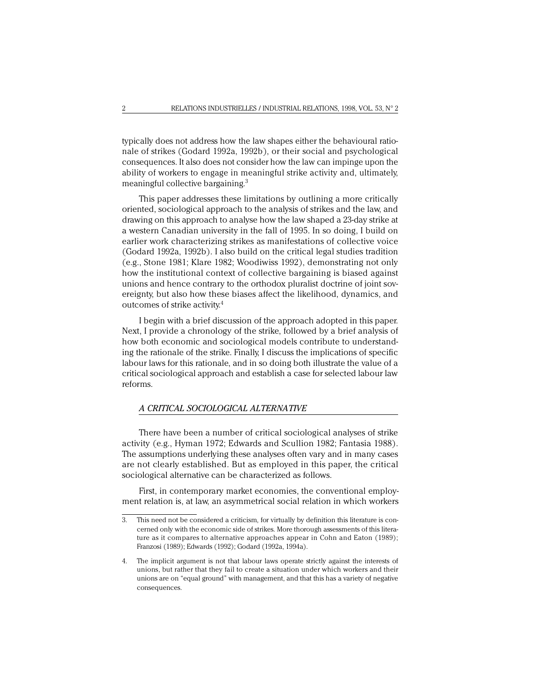typically does not address how the law shapes either the behavioural rationale of strikes (Godard 1992a, 1992b), or their social and psychological consequences. It also does not consider how the law can impinge upon the ability of workers to engage in meaningful strike activity and, ultimately, meaningful collective bargaining.3

This paper addresses these limitations by outlining a more critically oriented, sociological approach to the analysis of strikes and the law, and drawing on this approach to analyse how the law shaped a 23-day strike at a western Canadian university in the fall of 1995. In so doing, I build on earlier work characterizing strikes as manifestations of collective voice (Godard 1992a, 1992b). I also build on the critical legal studies tradition (e.g., Stone 1981; Klare 1982; Woodiwiss 1992), demonstrating not only how the institutional context of collective bargaining is biased against unions and hence contrary to the orthodox pluralist doctrine of joint sovereignty, but also how these biases affect the likelihood, dynamics, and outcomes of strike activity.4

I begin with a brief discussion of the approach adopted in this paper. Next, I provide a chronology of the strike, followed by a brief analysis of how both economic and sociological models contribute to understanding the rationale of the strike. Finally, I discuss the implications of specific labour laws for this rationale, and in so doing both illustrate the value of a critical sociological approach and establish a case for selected labour law reforms.

# *A CRITICAL SOCIOLOGICAL ALTERNATIVE*

There have been a number of critical sociological analyses of strike activity (e.g., Hyman 1972; Edwards and Scullion 1982; Fantasia 1988). The assumptions underlying these analyses often vary and in many cases are not clearly established. But as employed in this paper, the critical sociological alternative can be characterized as follows.

First, in contemporary market economies, the conventional employment relation is, at law, an asymmetrical social relation in which workers

<sup>3.</sup> This need not be considered a criticism, for virtually by definition this literature is concerned only with the economic side of strikes. More thorough assessments of this literature as it compares to alternative approaches appear in Cohn and Eaton (1989); Franzosi (1989); Edwards (1992); Godard (1992a, 1994a).

<sup>4.</sup> The implicit argument is not that labour laws operate strictly against the interests of unions, but rather that they fail to create a situation under which workers and their unions are on "equal ground" with management, and that this has a variety of negative consequences.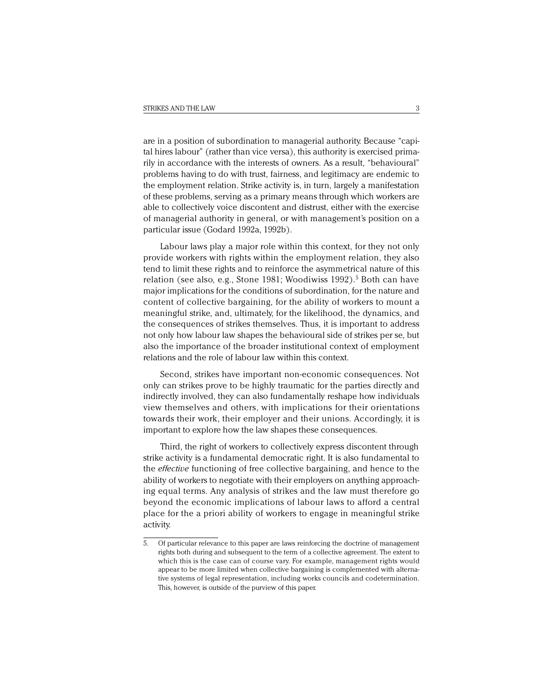are in a position of subordination to managerial authority. Because "capital hires labour" (rather than vice versa), this authority is exercised primarily in accordance with the interests of owners. As a result, "behavioural" problems having to do with trust, fairness, and legitimacy are endemic to the employment relation. Strike activity is, in turn, largely a manifestation of these problems, serving as a primary means through which workers are able to collectively voice discontent and distrust, either with the exercise of managerial authority in general, or with management's position on a particular issue (Godard 1992a, 1992b).

Labour laws play a major role within this context, for they not only provide workers with rights within the employment relation, they also tend to limit these rights and to reinforce the asymmetrical nature of this relation (see also, e.g., Stone 1981; Woodiwiss 1992).<sup>5</sup> Both can have major implications for the conditions of subordination, for the nature and content of collective bargaining, for the ability of workers to mount a meaningful strike, and, ultimately, for the likelihood, the dynamics, and the consequences of strikes themselves. Thus, it is important to address not only how labour law shapes the behavioural side of strikes per se, but also the importance of the broader institutional context of employment relations and the role of labour law within this context.

Second, strikes have important non-economic consequences. Not only can strikes prove to be highly traumatic for the parties directly and indirectly involved, they can also fundamentally reshape how individuals view themselves and others, with implications for their orientations towards their work, their employer and their unions. Accordingly, it is important to explore how the law shapes these consequences.

Third, the right of workers to collectively express discontent through strike activity is a fundamental democratic right. It is also fundamental to the *effective* functioning of free collective bargaining, and hence to the ability of workers to negotiate with their employers on anything approaching equal terms. Any analysis of strikes and the law must therefore go beyond the economic implications of labour laws to afford a central place for the a priori ability of workers to engage in meaningful strike activity.

<sup>5.</sup> Of particular relevance to this paper are laws reinforcing the doctrine of management rights both during and subsequent to the term of a collective agreement. The extent to which this is the case can of course vary. For example, management rights would appear to be more limited when collective bargaining is complemented with alternative systems of legal representation, including works councils and codetermination. This, however, is outside of the purview of this paper.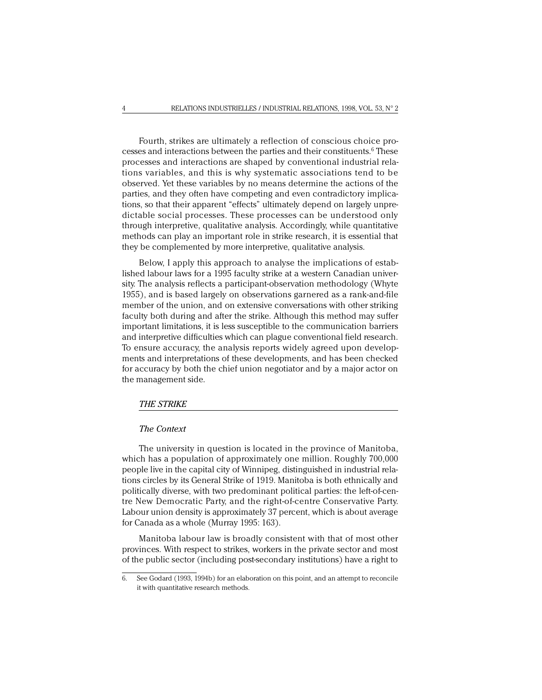Fourth, strikes are ultimately a reflection of conscious choice processes and interactions between the parties and their constituents.<sup>6</sup> These processes and interactions are shaped by conventional industrial relations variables, and this is why systematic associations tend to be observed. Yet these variables by no means determine the actions of the parties, and they often have competing and even contradictory implications, so that their apparent "effects" ultimately depend on largely unpredictable social processes. These processes can be understood only through interpretive, qualitative analysis. Accordingly, while quantitative methods can play an important role in strike research, it is essential that they be complemented by more interpretive, qualitative analysis.

Below, I apply this approach to analyse the implications of established labour laws for a 1995 faculty strike at a western Canadian university. The analysis reflects a participant-observation methodology (Whyte 1955), and is based largely on observations garnered as a rank-and-file member of the union, and on extensive conversations with other striking faculty both during and after the strike. Although this method may suffer important limitations, it is less susceptible to the communication barriers and interpretive difficulties which can plague conventional field research. To ensure accuracy, the analysis reports widely agreed upon developments and interpretations of these developments, and has been checked for accuracy by both the chief union negotiator and by a major actor on the management side.

#### *THE STRIKE*

## *The Context*

The university in question is located in the province of Manitoba, which has a population of approximately one million. Roughly 700,000 people live in the capital city of Winnipeg, distinguished in industrial relations circles by its General Strike of 1919. Manitoba is both ethnically and politically diverse, with two predominant political parties: the left-of-centre New Democratic Party, and the right-of-centre Conservative Party. Labour union density is approximately 37 percent, which is about average for Canada as a whole (Murray 1995: 163).

Manitoba labour law is broadly consistent with that of most other provinces. With respect to strikes, workers in the private sector and most of the public sector (including post-secondary institutions) have a right to

<sup>6.</sup> See Godard (1993, 1994b) for an elaboration on this point, and an attempt to reconcile it with quantitative research methods.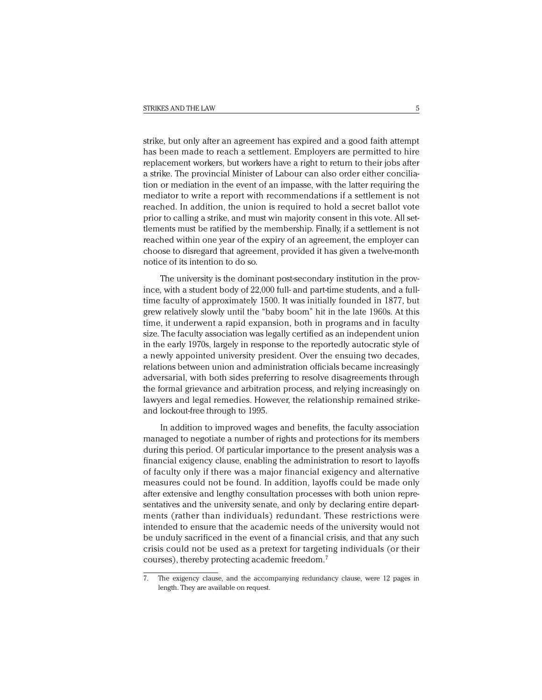strike, but only after an agreement has expired and a good faith attempt has been made to reach a settlement. Employers are permitted to hire replacement workers, but workers have a right to return to their jobs after a strike. The provincial Minister of Labour can also order either conciliation or mediation in the event of an impasse, with the latter requiring the mediator to write a report with recommendations if a settlement is not reached. In addition, the union is required to hold a secret ballot vote prior to calling a strike, and must win majority consent in this vote. All settlements must be ratified by the membership. Finally, if a settlement is not reached within one year of the expiry of an agreement, the employer can choose to disregard that agreement, provided it has given a twelve-month notice of its intention to do so.

The university is the dominant post-secondary institution in the province, with a student body of 22,000 full- and part-time students, and a fulltime faculty of approximately 1500. It was initially founded in 1877, but grew relatively slowly until the "baby boom" hit in the late 1960s. At this time, it underwent a rapid expansion, both in programs and in faculty size. The faculty association was legally certified as an independent union in the early 1970s, largely in response to the reportedly autocratic style of a newly appointed university president. Over the ensuing two decades, relations between union and administration officials became increasingly adversarial, with both sides preferring to resolve disagreements through the formal grievance and arbitration process, and relying increasingly on lawyers and legal remedies. However, the relationship remained strikeand lockout-free through to 1995.

In addition to improved wages and benefits, the faculty association managed to negotiate a number of rights and protections for its members during this period. Of particular importance to the present analysis was a financial exigency clause, enabling the administration to resort to layoffs of faculty only if there was a major financial exigency and alternative measures could not be found. In addition, layoffs could be made only after extensive and lengthy consultation processes with both union representatives and the university senate, and only by declaring entire departments (rather than individuals) redundant. These restrictions were intended to ensure that the academic needs of the university would not be unduly sacrificed in the event of a financial crisis, and that any such crisis could not be used as a pretext for targeting individuals (or their courses), thereby protecting academic freedom.7

<sup>7.</sup> The exigency clause, and the accompanying redundancy clause, were 12 pages in length. They are available on request.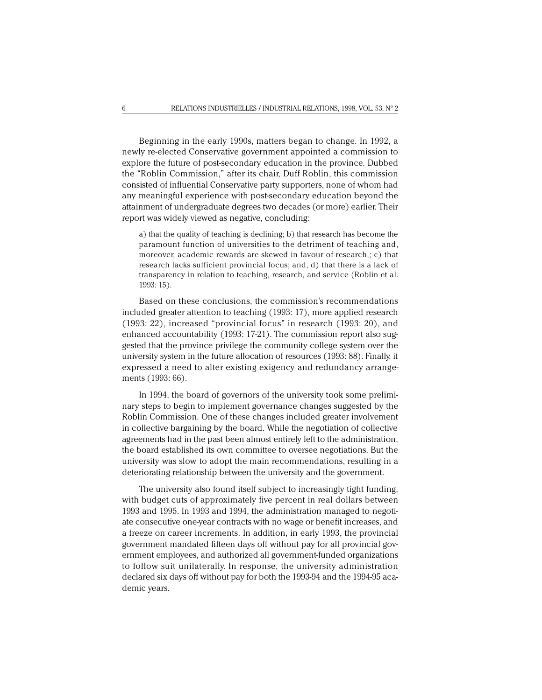Beginning in the early 1990s, matters began to change. In 1992, a newly re-elected Conservative government appointed a commission to explore the future of post-secondary education in the province. Dubbed the "Roblin Commission," after its chair, Duff Roblin, this commission consisted of influential Conservative party supporters, none of whom had any meaningful experience with post-secondary education beyond the attainment of undergraduate degrees two decades (or more) earlier. Their report was widely viewed as negative, concluding:

a) that the quality of teaching is declining; b) that research has become the paramount function of universities to the detriment of teaching and, moreover, academic rewards are skewed in favour of research,; c) that research lacks sufficient provincial focus; and, d) that there is a lack of transparency in relation to teaching, research, and service (Roblin et al. 1993: 15).

Based on these conclusions, the commission's recommendations included greater attention to teaching (1993: 17), more applied research (1993: 22), increased "provincial focus" in research (1993: 20), and enhanced accountability (1993: 17-21). The commission report also suggested that the province privilege the community college system over the university system in the future allocation of resources (1993: 88). Finally, it expressed a need to alter existing exigency and redundancy arrangements (1993: 66).

In 1994, the board of governors of the university took some preliminary steps to begin to implement governance changes suggested by the Roblin Commission. One of these changes included greater involvement in collective bargaining by the board. While the negotiation of collective agreements had in the past been almost entirely left to the administration, the board established its own committee to oversee negotiations. But the university was slow to adopt the main recommendations, resulting in a deteriorating relationship between the university and the government.

The university also found itself subject to increasingly tight funding, with budget cuts of approximately five percent in real dollars between 1993 and 1995. In 1993 and 1994, the administration managed to negotiate consecutive one-year contracts with no wage or benefit increases, and a freeze on career increments. In addition, in early 1993, the provincial government mandated fifteen days off without pay for all provincial government employees, and authorized all government-funded organizations to follow suit unilaterally. In response, the university administration declared six days off without pay for both the 1993-94 and the 1994-95 academic years.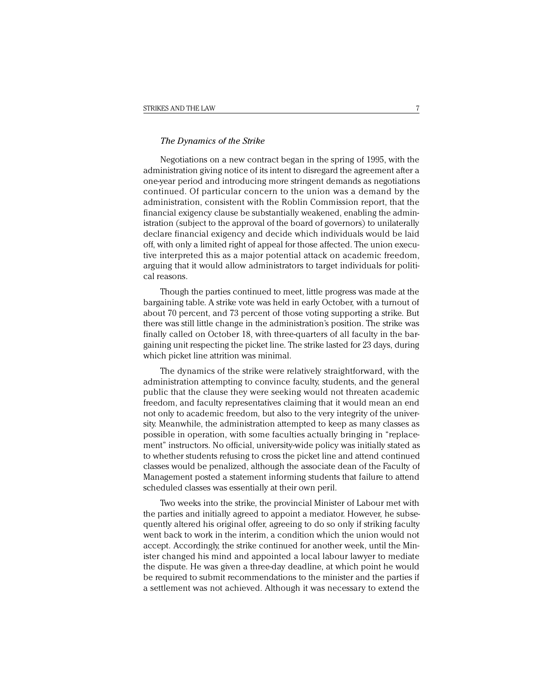# *The Dynamics of the Strike*

Negotiations on a new contract began in the spring of 1995, with the administration giving notice of its intent to disregard the agreement after a one-year period and introducing more stringent demands as negotiations continued. Of particular concern to the union was a demand by the administration, consistent with the Roblin Commission report, that the financial exigency clause be substantially weakened, enabling the administration (subject to the approval of the board of governors) to unilaterally declare financial exigency and decide which individuals would be laid off, with only a limited right of appeal for those affected. The union executive interpreted this as a major potential attack on academic freedom, arguing that it would allow administrators to target individuals for political reasons.

Though the parties continued to meet, little progress was made at the bargaining table. A strike vote was held in early October, with a turnout of about 70 percent, and 73 percent of those voting supporting a strike. But there was still little change in the administration's position. The strike was finally called on October 18, with three-quarters of all faculty in the bargaining unit respecting the picket line. The strike lasted for 23 days, during which picket line attrition was minimal.

The dynamics of the strike were relatively straightforward, with the administration attempting to convince faculty, students, and the general public that the clause they were seeking would not threaten academic freedom, and faculty representatives claiming that it would mean an end not only to academic freedom, but also to the very integrity of the university. Meanwhile, the administration attempted to keep as many classes as possible in operation, with some faculties actually bringing in "replacement" instructors. No official, university-wide policy was initially stated as to whether students refusing to cross the picket line and attend continued classes would be penalized, although the associate dean of the Faculty of Management posted a statement informing students that failure to attend scheduled classes was essentially at their own peril.

Two weeks into the strike, the provincial Minister of Labour met with the parties and initially agreed to appoint a mediator. However, he subsequently altered his original offer, agreeing to do so only if striking faculty went back to work in the interim, a condition which the union would not accept. Accordingly, the strike continued for another week, until the Minister changed his mind and appointed a local labour lawyer to mediate the dispute. He was given a three-day deadline, at which point he would be required to submit recommendations to the minister and the parties if a settlement was not achieved. Although it was necessary to extend the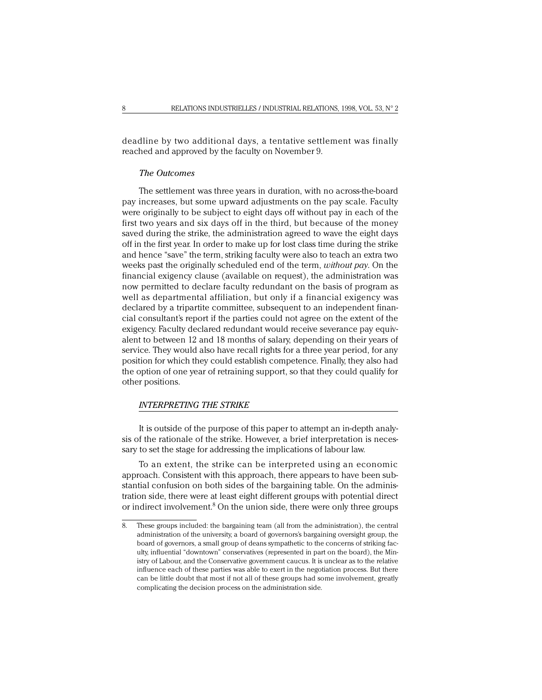deadline by two additional days, a tentative settlement was finally reached and approved by the faculty on November 9.

# *The Outcomes*

The settlement was three years in duration, with no across-the-board pay increases, but some upward adjustments on the pay scale. Faculty were originally to be subject to eight days off without pay in each of the first two years and six days off in the third, but because of the money saved during the strike, the administration agreed to wave the eight days off in the first year. In order to make up for lost class time during the strike and hence "save" the term, striking faculty were also to teach an extra two weeks past the originally scheduled end of the term, *without pay*. On the financial exigency clause (available on request), the administration was now permitted to declare faculty redundant on the basis of program as well as departmental affiliation, but only if a financial exigency was declared by a tripartite committee, subsequent to an independent financial consultant's report if the parties could not agree on the extent of the exigency. Faculty declared redundant would receive severance pay equivalent to between 12 and 18 months of salary, depending on their years of service. They would also have recall rights for a three year period, for any position for which they could establish competence. Finally, they also had the option of one year of retraining support, so that they could qualify for other positions.

# *INTERPRETING THE STRIKE*

It is outside of the purpose of this paper to attempt an in-depth analysis of the rationale of the strike. However, a brief interpretation is necessary to set the stage for addressing the implications of labour law.

To an extent, the strike can be interpreted using an economic approach. Consistent with this approach, there appears to have been substantial confusion on both sides of the bargaining table. On the administration side, there were at least eight different groups with potential direct or indirect involvement.<sup>8</sup> On the union side, there were only three groups

<sup>8.</sup> These groups included: the bargaining team (all from the administration), the central administration of the university, a board of governors's bargaining oversight group, the board of governors, a small group of deans sympathetic to the concerns of striking faculty, influential "downtown" conservatives (represented in part on the board), the Ministry of Labour, and the Conservative government caucus. It is unclear as to the relative influence each of these parties was able to exert in the negotiation process. But there can be little doubt that most if not all of these groups had some involvement, greatly complicating the decision process on the administration side.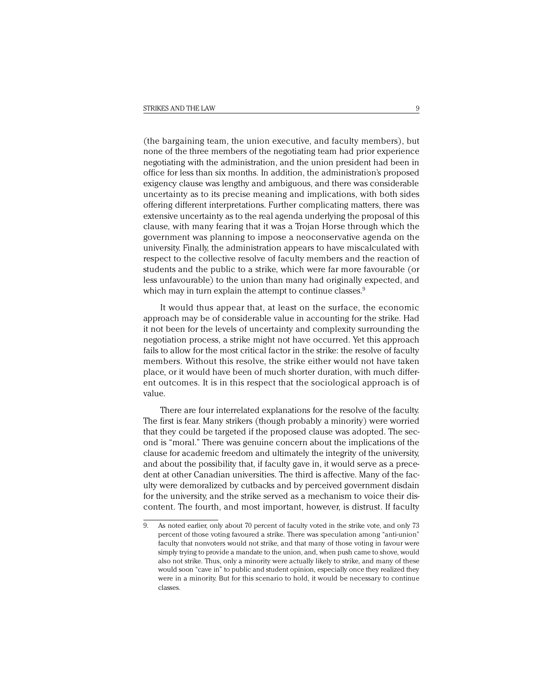(the bargaining team, the union executive, and faculty members), but none of the three members of the negotiating team had prior experience negotiating with the administration, and the union president had been in office for less than six months. In addition, the administration's proposed exigency clause was lengthy and ambiguous, and there was considerable uncertainty as to its precise meaning and implications, with both sides offering different interpretations. Further complicating matters, there was extensive uncertainty as to the real agenda underlying the proposal of this clause, with many fearing that it was a Trojan Horse through which the government was planning to impose a neoconservative agenda on the university. Finally, the administration appears to have miscalculated with respect to the collective resolve of faculty members and the reaction of students and the public to a strike, which were far more favourable (or less unfavourable) to the union than many had originally expected, and which may in turn explain the attempt to continue classes.<sup>9</sup>

It would thus appear that, at least on the surface, the economic approach may be of considerable value in accounting for the strike. Had it not been for the levels of uncertainty and complexity surrounding the negotiation process, a strike might not have occurred. Yet this approach fails to allow for the most critical factor in the strike: the resolve of faculty members. Without this resolve, the strike either would not have taken place, or it would have been of much shorter duration, with much different outcomes. It is in this respect that the sociological approach is of value.

There are four interrelated explanations for the resolve of the faculty. The first is fear. Many strikers (though probably a minority) were worried that they could be targeted if the proposed clause was adopted. The second is "moral." There was genuine concern about the implications of the clause for academic freedom and ultimately the integrity of the university, and about the possibility that, if faculty gave in, it would serve as a precedent at other Canadian universities. The third is affective. Many of the faculty were demoralized by cutbacks and by perceived government disdain for the university, and the strike served as a mechanism to voice their discontent. The fourth, and most important, however, is distrust. If faculty

<sup>9.</sup> As noted earlier, only about 70 percent of faculty voted in the strike vote, and only 73 percent of those voting favoured a strike. There was speculation among "anti-union" faculty that nonvoters would not strike, and that many of those voting in favour were simply trying to provide a mandate to the union, and, when push came to shove, would also not strike. Thus, only a minority were actually likely to strike, and many of these would soon "cave in" to public and student opinion, especially once they realized they were in a minority. But for this scenario to hold, it would be necessary to continue classes.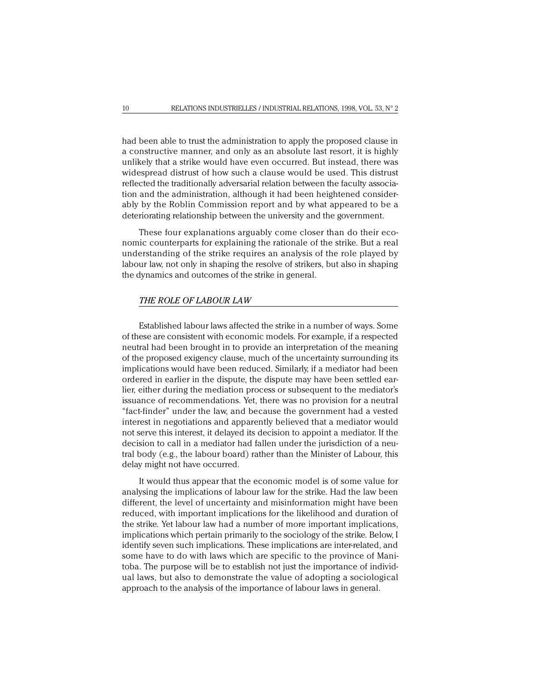had been able to trust the administration to apply the proposed clause in a constructive manner, and only as an absolute last resort, it is highly unlikely that a strike would have even occurred. But instead, there was widespread distrust of how such a clause would be used. This distrust reflected the traditionally adversarial relation between the faculty association and the administration, although it had been heightened considerably by the Roblin Commission report and by what appeared to be a deteriorating relationship between the university and the government.

These four explanations arguably come closer than do their economic counterparts for explaining the rationale of the strike. But a real understanding of the strike requires an analysis of the role played by labour law, not only in shaping the resolve of strikers, but also in shaping the dynamics and outcomes of the strike in general.

### *THE ROLE OF LABOUR LAW*

Established labour laws affected the strike in a number of ways. Some of these are consistent with economic models. For example, if a respected neutral had been brought in to provide an interpretation of the meaning of the proposed exigency clause, much of the uncertainty surrounding its implications would have been reduced. Similarly, if a mediator had been ordered in earlier in the dispute, the dispute may have been settled earlier, either during the mediation process or subsequent to the mediator's issuance of recommendations. Yet, there was no provision for a neutral "fact-finder" under the law, and because the government had a vested interest in negotiations and apparently believed that a mediator would not serve this interest, it delayed its decision to appoint a mediator. If the decision to call in a mediator had fallen under the jurisdiction of a neutral body (e.g., the labour board) rather than the Minister of Labour, this delay might not have occurred.

It would thus appear that the economic model is of some value for analysing the implications of labour law for the strike. Had the law been different, the level of uncertainty and misinformation might have been reduced, with important implications for the likelihood and duration of the strike. Yet labour law had a number of more important implications, implications which pertain primarily to the sociology of the strike. Below, I identify seven such implications. These implications are inter-related, and some have to do with laws which are specific to the province of Manitoba. The purpose will be to establish not just the importance of individual laws, but also to demonstrate the value of adopting a sociological approach to the analysis of the importance of labour laws in general.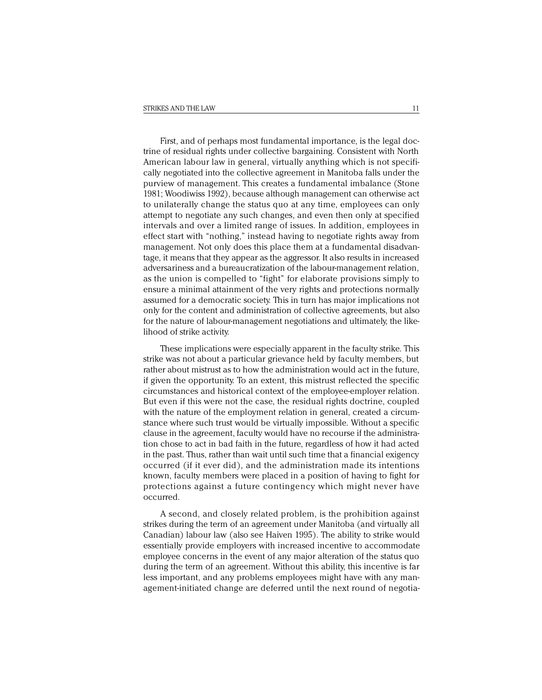First, and of perhaps most fundamental importance, is the legal doctrine of residual rights under collective bargaining. Consistent with North American labour law in general, virtually anything which is not specifically negotiated into the collective agreement in Manitoba falls under the purview of management. This creates a fundamental imbalance (Stone 1981; Woodiwiss 1992), because although management can otherwise act to unilaterally change the status quo at any time, employees can only attempt to negotiate any such changes, and even then only at specified intervals and over a limited range of issues. In addition, employees in effect start with "nothing," instead having to negotiate rights away from management. Not only does this place them at a fundamental disadvantage, it means that they appear as the aggressor. It also results in increased adversariness and a bureaucratization of the labour-management relation, as the union is compelled to "fight" for elaborate provisions simply to ensure a minimal attainment of the very rights and protections normally assumed for a democratic society. This in turn has major implications not only for the content and administration of collective agreements, but also for the nature of labour-management negotiations and ultimately, the likelihood of strike activity.

These implications were especially apparent in the faculty strike. This strike was not about a particular grievance held by faculty members, but rather about mistrust as to how the administration would act in the future, if given the opportunity. To an extent, this mistrust reflected the specific circumstances and historical context of the employee-employer relation. But even if this were not the case, the residual rights doctrine, coupled with the nature of the employment relation in general, created a circumstance where such trust would be virtually impossible. Without a specific clause in the agreement, faculty would have no recourse if the administration chose to act in bad faith in the future, regardless of how it had acted in the past. Thus, rather than wait until such time that a financial exigency occurred (if it ever did), and the administration made its intentions known, faculty members were placed in a position of having to fight for protections against a future contingency which might never have occurred.

A second, and closely related problem, is the prohibition against strikes during the term of an agreement under Manitoba (and virtually all Canadian) labour law (also see Haiven 1995). The ability to strike would essentially provide employers with increased incentive to accommodate employee concerns in the event of any major alteration of the status quo during the term of an agreement. Without this ability, this incentive is far less important, and any problems employees might have with any management-initiated change are deferred until the next round of negotia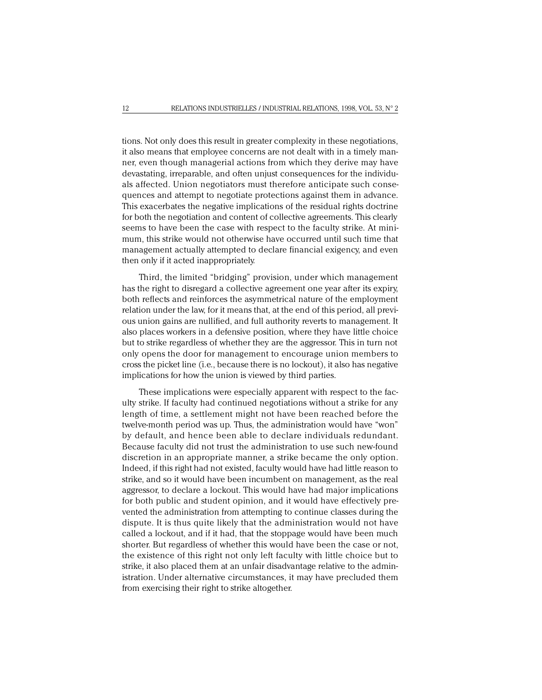tions. Not only does this result in greater complexity in these negotiations, it also means that employee concerns are not dealt with in a timely manner, even though managerial actions from which they derive may have devastating, irreparable, and often unjust consequences for the individuals affected. Union negotiators must therefore anticipate such consequences and attempt to negotiate protections against them in advance. This exacerbates the negative implications of the residual rights doctrine for both the negotiation and content of collective agreements. This clearly seems to have been the case with respect to the faculty strike. At minimum, this strike would not otherwise have occurred until such time that management actually attempted to declare financial exigency, and even then only if it acted inappropriately.

Third, the limited "bridging" provision, under which management has the right to disregard a collective agreement one year after its expiry, both reflects and reinforces the asymmetrical nature of the employment relation under the law, for it means that, at the end of this period, all previous union gains are nullified, and full authority reverts to management. It also places workers in a defensive position, where they have little choice but to strike regardless of whether they are the aggressor. This in turn not only opens the door for management to encourage union members to cross the picket line (i.e., because there is no lockout), it also has negative implications for how the union is viewed by third parties.

These implications were especially apparent with respect to the faculty strike. If faculty had continued negotiations without a strike for any length of time, a settlement might not have been reached before the twelve-month period was up. Thus, the administration would have "won" by default, and hence been able to declare individuals redundant. Because faculty did not trust the administration to use such new-found discretion in an appropriate manner, a strike became the only option. Indeed, if this right had not existed, faculty would have had little reason to strike, and so it would have been incumbent on management, as the real aggressor, to declare a lockout. This would have had major implications for both public and student opinion, and it would have effectively prevented the administration from attempting to continue classes during the dispute. It is thus quite likely that the administration would not have called a lockout, and if it had, that the stoppage would have been much shorter. But regardless of whether this would have been the case or not, the existence of this right not only left faculty with little choice but to strike, it also placed them at an unfair disadvantage relative to the administration. Under alternative circumstances, it may have precluded them from exercising their right to strike altogether.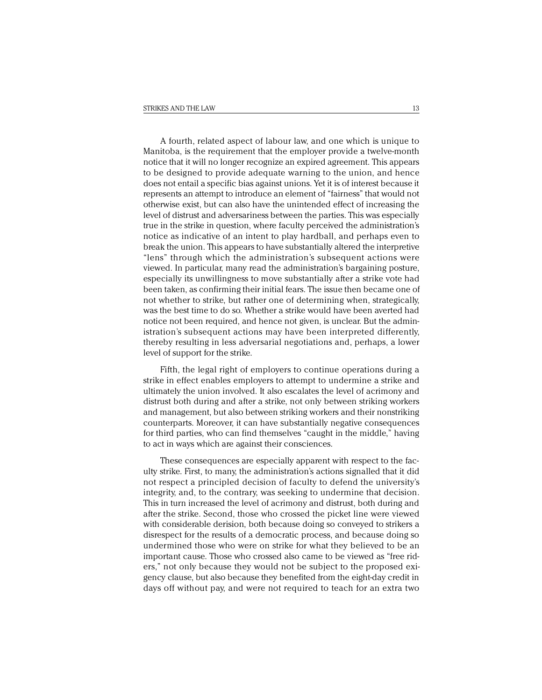A fourth, related aspect of labour law, and one which is unique to Manitoba, is the requirement that the employer provide a twelve-month notice that it will no longer recognize an expired agreement. This appears to be designed to provide adequate warning to the union, and hence does not entail a specific bias against unions. Yet it is of interest because it represents an attempt to introduce an element of "fairness" that would not otherwise exist, but can also have the unintended effect of increasing the level of distrust and adversariness between the parties. This was especially true in the strike in question, where faculty perceived the administration's notice as indicative of an intent to play hardball, and perhaps even to break the union. This appears to have substantially altered the interpretive "lens" through which the administration's subsequent actions were viewed. In particular, many read the administration's bargaining posture, especially its unwillingness to move substantially after a strike vote had been taken, as confirming their initial fears. The issue then became one of not whether to strike, but rather one of determining when, strategically, was the best time to do so. Whether a strike would have been averted had notice not been required, and hence not given, is unclear. But the administration's subsequent actions may have been interpreted differently, thereby resulting in less adversarial negotiations and, perhaps, a lower level of support for the strike.

Fifth, the legal right of employers to continue operations during a strike in effect enables employers to attempt to undermine a strike and ultimately the union involved. It also escalates the level of acrimony and distrust both during and after a strike, not only between striking workers and management, but also between striking workers and their nonstriking counterparts. Moreover, it can have substantially negative consequences for third parties, who can find themselves "caught in the middle," having to act in ways which are against their consciences.

These consequences are especially apparent with respect to the faculty strike. First, to many, the administration's actions signalled that it did not respect a principled decision of faculty to defend the university's integrity, and, to the contrary, was seeking to undermine that decision. This in turn increased the level of acrimony and distrust, both during and after the strike. Second, those who crossed the picket line were viewed with considerable derision, both because doing so conveyed to strikers a disrespect for the results of a democratic process, and because doing so undermined those who were on strike for what they believed to be an important cause. Those who crossed also came to be viewed as "free riders," not only because they would not be subject to the proposed exigency clause, but also because they benefited from the eight-day credit in days off without pay, and were not required to teach for an extra two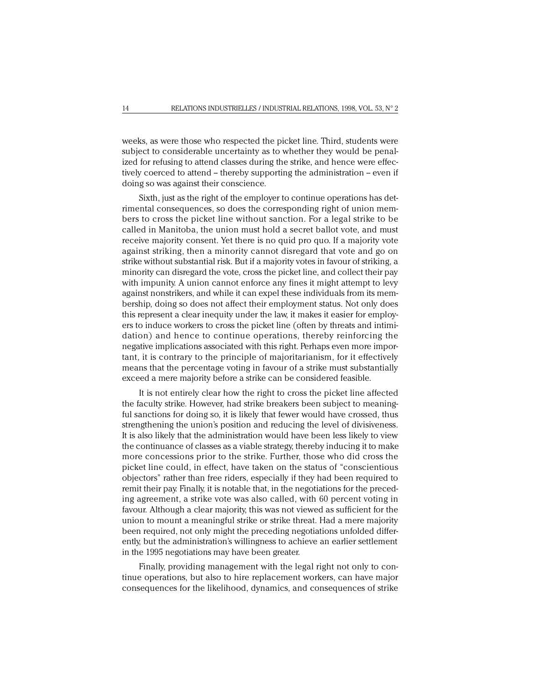weeks, as were those who respected the picket line. Third, students were subject to considerable uncertainty as to whether they would be penalized for refusing to attend classes during the strike, and hence were effectively coerced to attend – thereby supporting the administration – even if doing so was against their conscience.

Sixth, just as the right of the employer to continue operations has detrimental consequences, so does the corresponding right of union members to cross the picket line without sanction. For a legal strike to be called in Manitoba, the union must hold a secret ballot vote, and must receive majority consent. Yet there is no quid pro quo. If a majority vote against striking, then a minority cannot disregard that vote and go on strike without substantial risk. But if a majority votes in favour of striking, a minority can disregard the vote, cross the picket line, and collect their pay with impunity. A union cannot enforce any fines it might attempt to levy against nonstrikers, and while it can expel these individuals from its membership, doing so does not affect their employment status. Not only does this represent a clear inequity under the law, it makes it easier for employers to induce workers to cross the picket line (often by threats and intimidation) and hence to continue operations, thereby reinforcing the negative implications associated with this right. Perhaps even more important, it is contrary to the principle of majoritarianism, for it effectively means that the percentage voting in favour of a strike must substantially exceed a mere majority before a strike can be considered feasible.

It is not entirely clear how the right to cross the picket line affected the faculty strike. However, had strike breakers been subject to meaningful sanctions for doing so, it is likely that fewer would have crossed, thus strengthening the union's position and reducing the level of divisiveness. It is also likely that the administration would have been less likely to view the continuance of classes as a viable strategy, thereby inducing it to make more concessions prior to the strike. Further, those who did cross the picket line could, in effect, have taken on the status of "conscientious objectors" rather than free riders, especially if they had been required to remit their pay. Finally, it is notable that, in the negotiations for the preceding agreement, a strike vote was also called, with 60 percent voting in favour. Although a clear majority, this was not viewed as sufficient for the union to mount a meaningful strike or strike threat. Had a mere majority been required, not only might the preceding negotiations unfolded differently, but the administration's willingness to achieve an earlier settlement in the 1995 negotiations may have been greater.

Finally, providing management with the legal right not only to continue operations, but also to hire replacement workers, can have major consequences for the likelihood, dynamics, and consequences of strike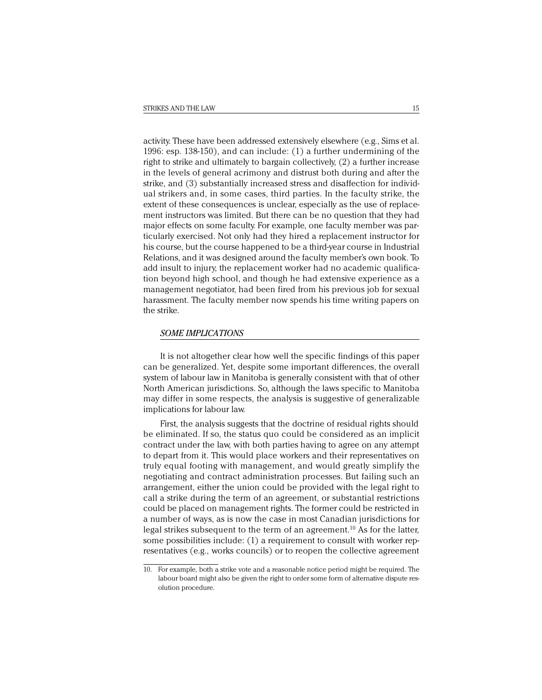activity. These have been addressed extensively elsewhere (e.g., Sims et al. 1996: esp. 138-150), and can include: (1) a further undermining of the right to strike and ultimately to bargain collectively, (2) a further increase in the levels of general acrimony and distrust both during and after the strike, and (3) substantially increased stress and disaffection for individual strikers and, in some cases, third parties. In the faculty strike, the extent of these consequences is unclear, especially as the use of replacement instructors was limited. But there can be no question that they had major effects on some faculty. For example, one faculty member was particularly exercised. Not only had they hired a replacement instructor for his course, but the course happened to be a third-year course in Industrial Relations, and it was designed around the faculty member's own book. To add insult to injury, the replacement worker had no academic qualification beyond high school, and though he had extensive experience as a management negotiator, had been fired from his previous job for sexual harassment. The faculty member now spends his time writing papers on the strike.

# *SOME IMPLICATIONS*

It is not altogether clear how well the specific findings of this paper can be generalized. Yet, despite some important differences, the overall system of labour law in Manitoba is generally consistent with that of other North American jurisdictions. So, although the laws specific to Manitoba may differ in some respects, the analysis is suggestive of generalizable implications for labour law.

First, the analysis suggests that the doctrine of residual rights should be eliminated. If so, the status quo could be considered as an implicit contract under the law, with both parties having to agree on any attempt to depart from it. This would place workers and their representatives on truly equal footing with management, and would greatly simplify the negotiating and contract administration processes. But failing such an arrangement, either the union could be provided with the legal right to call a strike during the term of an agreement, or substantial restrictions could be placed on management rights. The former could be restricted in a number of ways, as is now the case in most Canadian jurisdictions for legal strikes subsequent to the term of an agreement.<sup>10</sup> As for the latter, some possibilities include: (1) a requirement to consult with worker representatives (e.g., works councils) or to reopen the collective agreement

<sup>10.</sup> For example, both a strike vote and a reasonable notice period might be required. The labour board might also be given the right to order some form of alternative dispute resolution procedure.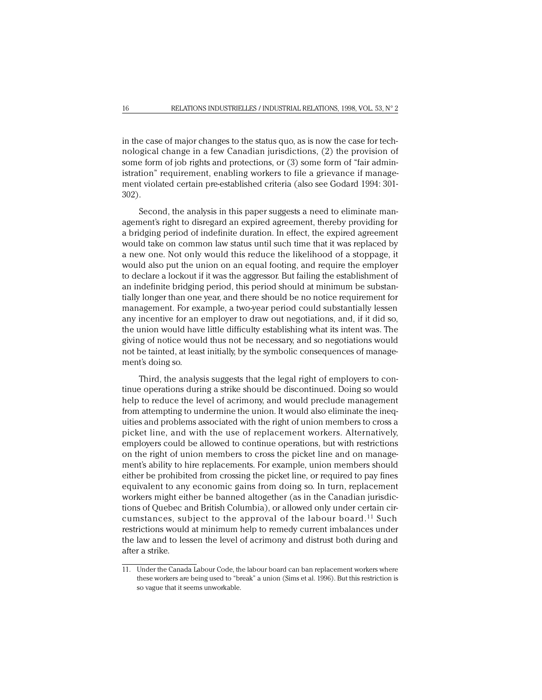in the case of major changes to the status quo, as is now the case for technological change in a few Canadian jurisdictions, (2) the provision of some form of job rights and protections, or (3) some form of "fair administration" requirement, enabling workers to file a grievance if management violated certain pre-established criteria (also see Godard 1994: 301- 302).

Second, the analysis in this paper suggests a need to eliminate management's right to disregard an expired agreement, thereby providing for a bridging period of indefinite duration. In effect, the expired agreement would take on common law status until such time that it was replaced by a new one. Not only would this reduce the likelihood of a stoppage, it would also put the union on an equal footing, and require the employer to declare a lockout if it was the aggressor. But failing the establishment of an indefinite bridging period, this period should at minimum be substantially longer than one year, and there should be no notice requirement for management. For example, a two-year period could substantially lessen any incentive for an employer to draw out negotiations, and, if it did so, the union would have little difficulty establishing what its intent was. The giving of notice would thus not be necessary, and so negotiations would not be tainted, at least initially, by the symbolic consequences of management's doing so.

Third, the analysis suggests that the legal right of employers to continue operations during a strike should be discontinued. Doing so would help to reduce the level of acrimony, and would preclude management from attempting to undermine the union. It would also eliminate the inequities and problems associated with the right of union members to cross a picket line, and with the use of replacement workers. Alternatively, employers could be allowed to continue operations, but with restrictions on the right of union members to cross the picket line and on management's ability to hire replacements. For example, union members should either be prohibited from crossing the picket line, or required to pay fines equivalent to any economic gains from doing so. In turn, replacement workers might either be banned altogether (as in the Canadian jurisdictions of Quebec and British Columbia), or allowed only under certain circumstances, subject to the approval of the labour board.<sup>11</sup> Such restrictions would at minimum help to remedy current imbalances under the law and to lessen the level of acrimony and distrust both during and after a strike.

<sup>11.</sup> Under the Canada Labour Code, the labour board can ban replacement workers where these workers are being used to "break" a union (Sims et al. 1996). But this restriction is so vague that it seems unworkable.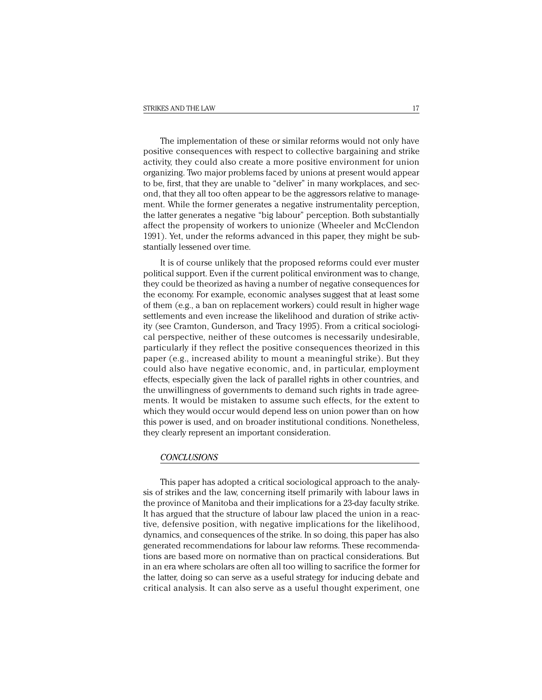The implementation of these or similar reforms would not only have positive consequences with respect to collective bargaining and strike activity, they could also create a more positive environment for union organizing. Two major problems faced by unions at present would appear to be, first, that they are unable to "deliver" in many workplaces, and second, that they all too often appear to be the aggressors relative to management. While the former generates a negative instrumentality perception, the latter generates a negative "big labour" perception. Both substantially affect the propensity of workers to unionize (Wheeler and McClendon 1991). Yet, under the reforms advanced in this paper, they might be substantially lessened over time.

It is of course unlikely that the proposed reforms could ever muster political support. Even if the current political environment was to change, they could be theorized as having a number of negative consequences for the economy. For example, economic analyses suggest that at least some of them (e.g., a ban on replacement workers) could result in higher wage settlements and even increase the likelihood and duration of strike activity (see Cramton, Gunderson, and Tracy 1995). From a critical sociological perspective, neither of these outcomes is necessarily undesirable, particularly if they reflect the positive consequences theorized in this paper (e.g., increased ability to mount a meaningful strike). But they could also have negative economic, and, in particular, employment effects, especially given the lack of parallel rights in other countries, and the unwillingness of governments to demand such rights in trade agreements. It would be mistaken to assume such effects, for the extent to which they would occur would depend less on union power than on how this power is used, and on broader institutional conditions. Nonetheless, they clearly represent an important consideration.

#### *CONCLUSIONS*

This paper has adopted a critical sociological approach to the analysis of strikes and the law, concerning itself primarily with labour laws in the province of Manitoba and their implications for a 23-day faculty strike. It has argued that the structure of labour law placed the union in a reactive, defensive position, with negative implications for the likelihood, dynamics, and consequences of the strike. In so doing, this paper has also generated recommendations for labour law reforms. These recommendations are based more on normative than on practical considerations. But in an era where scholars are often all too willing to sacrifice the former for the latter, doing so can serve as a useful strategy for inducing debate and critical analysis. It can also serve as a useful thought experiment, one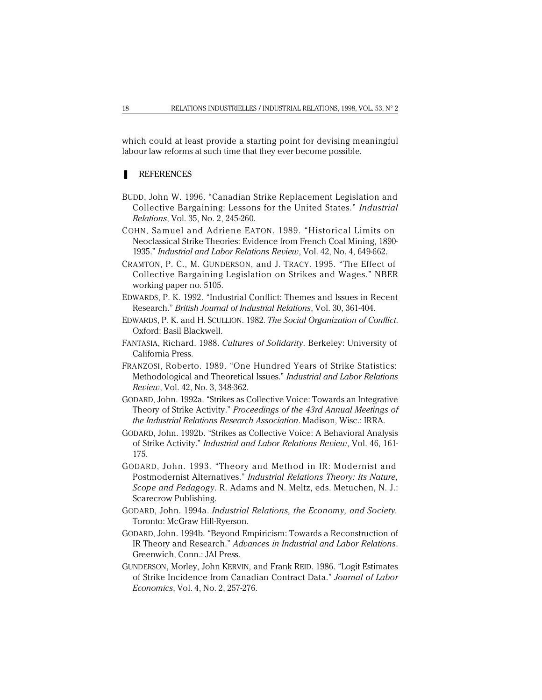which could at least provide a starting point for devising meaningful labour law reforms at such time that they ever become possible.

# **REFERENCES**

- BUDD, John W. 1996. "Canadian Strike Replacement Legislation and Collective Bargaining: Lessons for the United States." *Industrial Relations*, Vol. 35, No. 2, 245-260.
- COHN, Samuel and Adriene EATON. 1989. "Historical Limits on Neoclassical Strike Theories: Evidence from French Coal Mining, 1890- 1935." *Industrial and Labor Relations Review*, Vol. 42, No. 4, 649-662.
- CRAMTON, P. C., M. GUNDERSON, and J. TRACY. 1995. "The Effect of Collective Bargaining Legislation on Strikes and Wages." NBER working paper no. 5105.
- EDWARDS, P. K. 1992. "Industrial Conflict: Themes and Issues in Recent Research." *British Journal of Industrial Relations*, Vol. 30, 361-404.
- EDWARDS, P. K. and H. SCULLION. 1982. *The Social Organization of Conflict*. Oxford: Basil Blackwell.
- FANTASIA, Richard. 1988. *Cultures of Solidarity*. Berkeley: University of California Press.
- FRANZOSI, Roberto. 1989. "One Hundred Years of Strike Statistics: Methodological and Theoretical Issues." *Industrial and Labor Relations Review*, Vol. 42, No. 3, 348-362.
- GODARD, John. 1992a. "Strikes as Collective Voice: Towards an Integrative Theory of Strike Activity." *Proceedings of the 43rd Annual Meetings of the Industrial Relations Research Association*. Madison, Wisc.: IRRA.
- GODARD, John. 1992b. "Strikes as Collective Voice: A Behavioral Analysis of Strike Activity." *Industrial and Labor Relations Review*, Vol. 46, 161- 175.
- GODARD, John. 1993. "Theory and Method in IR: Modernist and Postmodernist Alternatives." *Industrial Relations Theory: Its Nature, Scope and Pedagogy*. R. Adams and N. Meltz, eds. Metuchen, N. J.: Scarecrow Publishing.
- GODARD, John. 1994a. *Industrial Relations, the Economy, and Society*. Toronto: McGraw Hill-Ryerson.
- GODARD, John. 1994b. "Beyond Empiricism: Towards a Reconstruction of IR Theory and Research." *Advances in Industrial and Labor Relations*. Greenwich, Conn.: JAI Press.
- GUNDERSON, Morley, John KERVIN, and Frank REID. 1986. "Logit Estimates of Strike Incidence from Canadian Contract Data." *Journal of Labor Economics*, Vol. 4, No. 2, 257-276.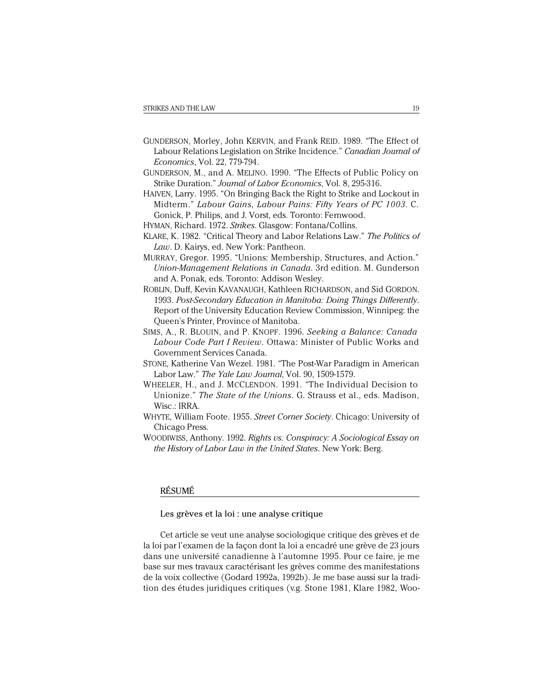- GUNDERSON, Morley, John KERVIN, and Frank REID. 1989. "The Effect of Labour Relations Legislation on Strike Incidence." *Canadian Journal of Economics*, Vol. 22, 779-794.
- GUNDERSON, M., and A. MELINO. 1990. "The Effects of Public Policy on Strike Duration." *Journal of Labor Economics*, Vol. 8, 295-316.
- HAIVEN, Larry. 1995. "On Bringing Back the Right to Strike and Lockout in Midterm." *Labour Gains, Labour Pains: Fifty Years of PC 1003*. C. Gonick, P. Philips, and J. Vorst, eds. Toronto: Fernwood.
- HYMAN, Richard. 1972. *Strikes*. Glasgow: Fontana/Collins.
- KLARE, K. 1982. "Critical Theory and Labor Relations Law." *The Politics of Law*. D. Kairys, ed. New York: Pantheon.
- MURRAY, Gregor. 1995. "Unions: Membership, Structures, and Action." *Union-Management Relations in Canada*. 3rd edition. M. Gunderson and A. Ponak, eds. Toronto: Addison Wesley.
- ROBLIN, Duff, Kevin KAVANAUGH, Kathleen RICHARDSON, and Sid GORDON. 1993. *Post-Secondary Education in Manitoba: Doing Things Differently*. Report of the University Education Review Commission, Winnipeg: the Queen's Printer, Province of Manitoba.
- SIMS, A., R. BLOUIN, and P. KNOPF. 1996. *Seeking a Balance: Canada Labour Code Part I Review*. Ottawa: Minister of Public Works and Government Services Canada.
- STONE, Katherine Van Wezel. 1981. "The Post-War Paradigm in American Labor Law." *The Yale Law Journal*, Vol. 90, 1509-1579.
- WHEELER, H., and J. MCCLENDON. 1991. "The Individual Decision to Unionize." *The State of the Unions*. G. Strauss et al., eds. Madison, Wisc.: IRRA.
- WHYTE, William Foote. 1955. *Street Corner Society*. Chicago: University of Chicago Press.
- WOODIWISS, Anthony. 1992. *Rights vs. Conspiracy: A Sociological Essay on the History of Labor Law in the United States*. New York: Berg.

# RÉSUMÉ

Les grèves et la loi : une analyse critique

Cet article se veut une analyse sociologique critique des grèves et de la loi par l'examen de la façon dont la loi a encadré une grève de 23 jours dans une université canadienne à l'automne 1995. Pour ce faire, je me base sur mes travaux caractérisant les grèves comme des manifestations de la voix collective (Godard 1992a, 1992b). Je me base aussi sur la tradition des études juridiques critiques (v.g. Stone 1981, Klare 1982, Woo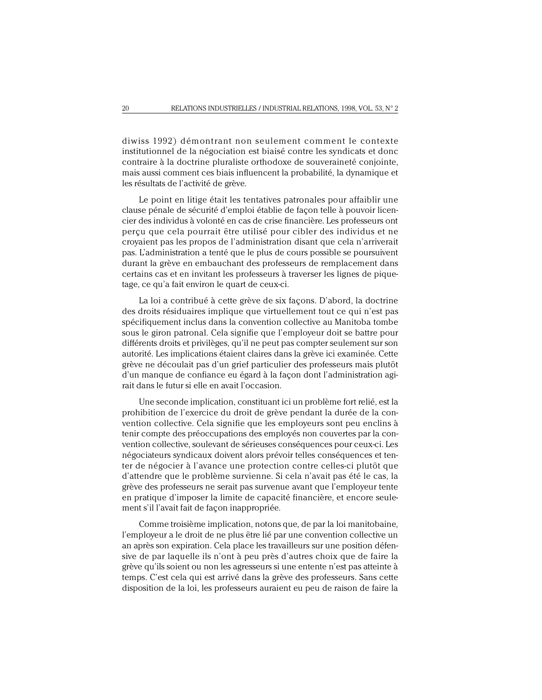diwiss 1992) démontrant non seulement comment le contexte institutionnel de la négociation est biaisé contre les syndicats et donc contraire à la doctrine pluraliste orthodoxe de souveraineté conjointe, mais aussi comment ces biais influencent la probabilité, la dynamique et les résultats de l'activité de grève.

Le point en litige était les tentatives patronales pour affaiblir une clause pénale de sécurité d'emploi établie de façon telle à pouvoir licencier des individus à volonté en cas de crise financière. Les professeurs ont perçu que cela pourrait être utilisé pour cibler des individus et ne croyaient pas les propos de l'administration disant que cela n'arriverait pas. L'administration a tenté que le plus de cours possible se poursuivent durant la grève en embauchant des professeurs de remplacement dans certains cas et en invitant les professeurs à traverser les lignes de piquetage, ce qu'a fait environ le quart de ceux-ci.

La loi a contribué à cette grève de six façons. D'abord, la doctrine des droits résiduaires implique que virtuellement tout ce qui n'est pas spécifiquement inclus dans la convention collective au Manitoba tombe sous le giron patronal. Cela signifie que l'employeur doit se battre pour différents droits et privilèges, qu'il ne peut pas compter seulement sur son autorité. Les implications étaient claires dans la grève ici examinée. Cette grève ne découlait pas d'un grief particulier des professeurs mais plutôt d'un manque de confiance eu égard à la façon dont l'administration agirait dans le futur si elle en avait l'occasion.

Une seconde implication, constituant ici un problème fort relié, est la prohibition de l'exercice du droit de grève pendant la durée de la convention collective. Cela signifie que les employeurs sont peu enclins à tenir compte des préoccupations des employés non couvertes par la convention collective, soulevant de sérieuses conséquences pour ceux-ci. Les négociateurs syndicaux doivent alors prévoir telles conséquences et tenter de négocier à l'avance une protection contre celles-ci plutôt que d'attendre que le problème survienne. Si cela n'avait pas été le cas, la grève des professeurs ne serait pas survenue avant que l'employeur tente en pratique d'imposer la limite de capacité financière, et encore seulement s'il l'avait fait de façon inappropriée.

Comme troisième implication, notons que, de par la loi manitobaine, l'employeur a le droit de ne plus être lié par une convention collective un an après son expiration. Cela place les travailleurs sur une position défensive de par laquelle ils n'ont à peu près d'autres choix que de faire la grève qu'ils soient ou non les agresseurs si une entente n'est pas atteinte à temps. C'est cela qui est arrivé dans la grève des professeurs. Sans cette disposition de la loi, les professeurs auraient eu peu de raison de faire la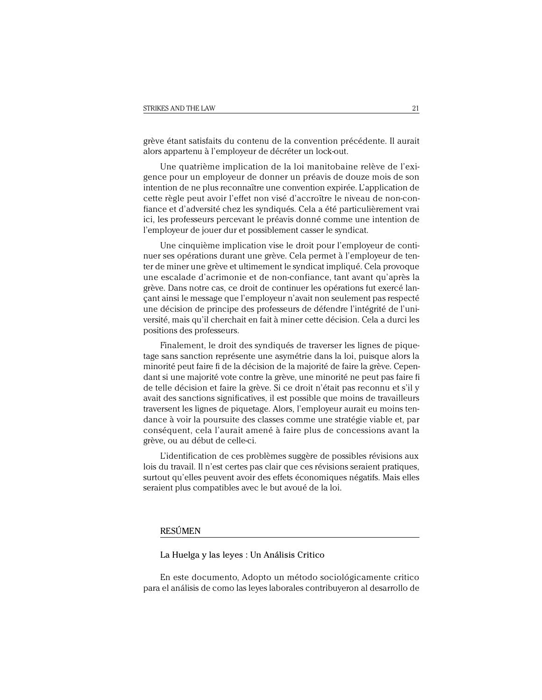grève étant satisfaits du contenu de la convention précédente. Il aurait alors appartenu à l'employeur de décréter un lock-out.

Une quatrième implication de la loi manitobaine relève de l'exigence pour un employeur de donner un préavis de douze mois de son intention de ne plus reconnaître une convention expirée. L'application de cette règle peut avoir l'effet non visé d'accroître le niveau de non-confiance et d'adversité chez les syndiqués. Cela a été particulièrement vrai ici, les professeurs percevant le préavis donné comme une intention de l'employeur de jouer dur et possiblement casser le syndicat.

Une cinquième implication vise le droit pour l'employeur de continuer ses opérations durant une grève. Cela permet à l'employeur de tenter de miner une grève et ultimement le syndicat impliqué. Cela provoque une escalade d'acrimonie et de non-confiance, tant avant qu'après la grève. Dans notre cas, ce droit de continuer les opérations fut exercé lançant ainsi le message que l'employeur n'avait non seulement pas respecté une décision de principe des professeurs de défendre l'intégrité de l'université, mais qu'il cherchait en fait à miner cette décision. Cela a durci les positions des professeurs.

Finalement, le droit des syndiqués de traverser les lignes de piquetage sans sanction représente une asymétrie dans la loi, puisque alors la minorité peut faire fi de la décision de la majorité de faire la grève. Cependant si une majorité vote contre la grève, une minorité ne peut pas faire fi de telle décision et faire la grève. Si ce droit n'était pas reconnu et s'il y avait des sanctions significatives, il est possible que moins de travailleurs traversent les lignes de piquetage. Alors, l'employeur aurait eu moins tendance à voir la poursuite des classes comme une stratégie viable et, par conséquent, cela l'aurait amené à faire plus de concessions avant la grève, ou au début de celle-ci.

L'identification de ces problèmes suggère de possibles révisions aux lois du travail. Il n'est certes pas clair que ces révisions seraient pratiques, surtout qu'elles peuvent avoir des effets économiques négatifs. Mais elles seraient plus compatibles avec le but avoué de la loi.

# RESÚMEN

La Huelga y las leyes : Un Análisis Critico

En este documento, Adopto un método sociológicamente critico para el análisis de como las leyes laborales contribuyeron al desarrollo de